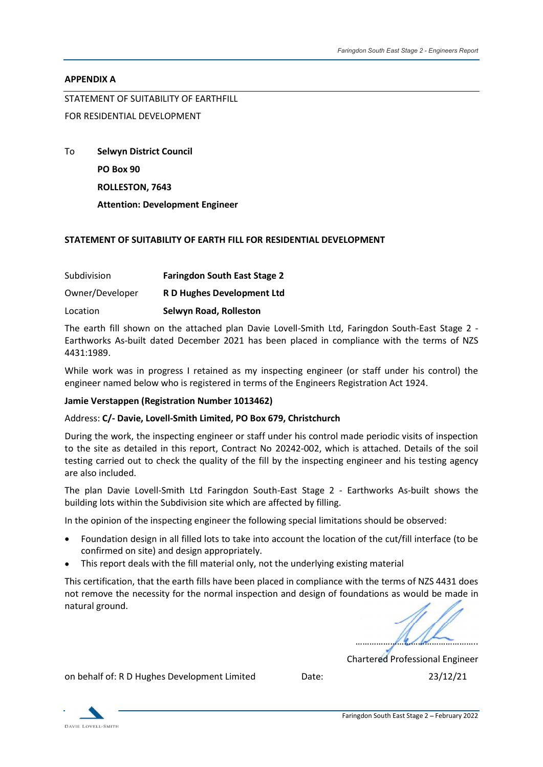#### APPENDIX A

STATEMENT OF SUITABILITY OF EARTHFILL

## FOR RESIDENTIAL DEVELOPMENT

To Selwyn District Council PO Box 90 ROLLESTON, 7643 Attention: Development Engineer

### STATEMENT OF SUITABILITY OF EARTH FILL FOR RESIDENTIAL DEVELOPMENT

| Subdivision     | <b>Faringdon South East Stage 2</b> |
|-----------------|-------------------------------------|
| Owner/Developer | R D Hughes Development Ltd          |
| Location        | Selwyn Road, Rolleston              |

STATEMENT OF SOLITABILITY OF EARTH FILL FOR RESIDENTIAL DEVELOPMENT<br>
TO Selwyn District Council<br>
PO Box 90<br>
ROLLESTON, 7643<br>
Attention: Development Engineer<br>
STATEMENT OF SUITABILITY OF EARTH FILL FOR RESIDENTIAL DEVELOPME Earthworks As-built dated December 2021 has been placed in compliance with the terms of NZS 4431:1989.

While work was in progress I retained as my inspecting engineer (or staff under his control) the engineer named below who is registered in terms of the Engineers Registration Act 1924.

#### Jamie Verstappen (Registration Number 1013462)

#### Address: C/- Davie, Lovell-Smith Limited, PO Box 679, Christchurch

During the work, the inspecting engineer or staff under his control made periodic visits of inspection to the site as detailed in this report, Contract No 20242-002, which is attached. Details of the soil testing carried out to check the quality of the fill by the inspecting engineer and his testing agency are also included.

The plan Davie Lovell-Smith Ltd Faringdon South-East Stage 2 - Earthworks As-built shows the building lots within the Subdivision site which are affected by filling.

In the opinion of the inspecting engineer the following special limitations should be observed:

- Foundation design in all filled lots to take into account the location of the cut/fill interface (to be confirmed on site) and design appropriately.
- This report deals with the fill material only, not the underlying existing material

This certification, that the earth fills have been placed in compliance with the terms of NZS 4431 does not remove the necessity for the normal inspection and design of foundations as would be made in natural ground.

Chartered Professional Engineer

on behalf of: R D Hughes Development Limited Date: 23/12/21

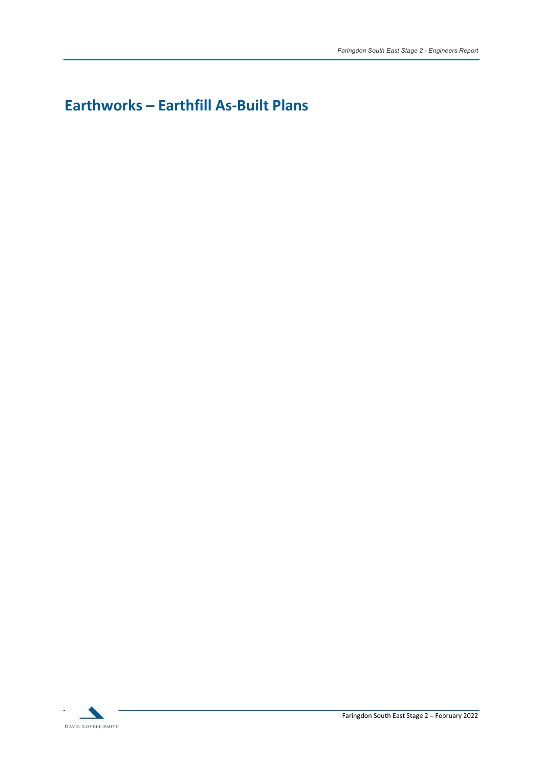# Earthworks - Earthfill As-Built Plans